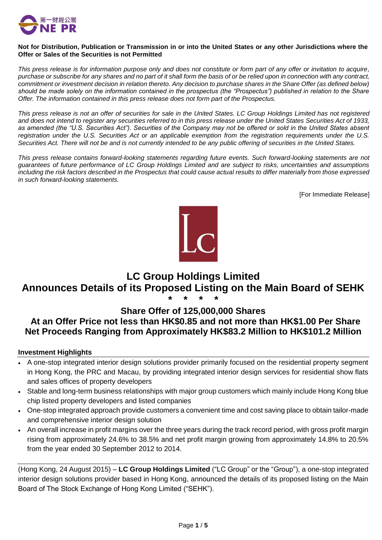

#### **Not for Distribution, Publication or Transmission in or into the United States or any other Jurisdictions where the Offer or Sales of the Securities is not Permitted**

*This press release is for information purpose only and does not constitute or form part of any offer or invitation to acquire, purchase or subscribe for any shares and no part of it shall form the basis of or be relied upon in connection with any contract, commitment or investment decision in relation thereto. Any decision to purchase shares in the Share Offer (as defined below) should be made solely on the information contained in the prospectus (the "Prospectus") published in relation to the Share Offer. The information contained in this press release does not form part of the Prospectus.* 

*This press release is not an offer of securities for sale in the United States. LC Group Holdings Limited has not registered and does not intend to register any securities referred to in this press release under the United States Securities Act of 1933, as amended (the "U.S. Securities Act"). Securities of the Company may not be offered or sold in the United States absent registration under the U.S. Securities Act or an applicable exemption from the registration requirements under the U.S. Securities Act. There will not be and is not currently intended to be any public offering of securities in the United States.*

*This press release contains forward-looking statements regarding future events. Such forward-looking statements are not guarantees of future performance of LC Group Holdings Limited and are subject to risks, uncertainties and assumptions including the risk factors described in the Prospectus that could cause actual results to differ materially from those expressed in such forward-looking statements.*

[For Immediate Release]



# **LC Group Holdings Limited Announces Details of its Proposed Listing on the Main Board of SEHK \* \* \* \***

### **Share Offer of 125,000,000 Shares**

# **At an Offer Price not less than HK\$0.85 and not more than HK\$1.00 Per Share Net Proceeds Ranging from Approximately HK\$83.2 Million to HK\$101.2 Million**

#### **Investment Highlights**

- A one-stop integrated interior design solutions provider primarily focused on the residential property segment in Hong Kong, the PRC and Macau, by providing integrated interior design services for residential show flats and sales offices of property developers
- Stable and long-term business relationships with major group customers which mainly include Hong Kong blue chip listed property developers and listed companies
- One-stop integrated approach provide customers a convenient time and cost saving place to obtain tailor-made and comprehensive interior design solution
- An overall increase in profit margins over the three years during the track record period, with gross profit margin rising from approximately 24.6% to 38.5% and net profit margin growing from approximately 14.8% to 20.5% from the year ended 30 September 2012 to 2014.

(Hong Kong, 24 August 2015) – **LC Group Holdings Limited** ("LC Group" or the "Group"), a one-stop integrated interior design solutions provider based in Hong Kong, announced the details of its proposed listing on the Main Board of The Stock Exchange of Hong Kong Limited ("SEHK").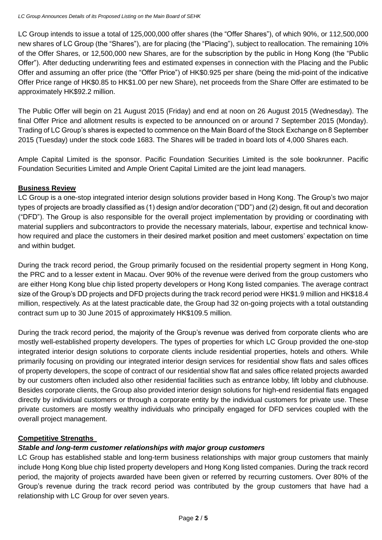LC Group intends to issue a total of 125,000,000 offer shares (the "Offer Shares"), of which 90%, or 112,500,000 new shares of LC Group (the "Shares"), are for placing (the "Placing"), subject to reallocation. The remaining 10% of the Offer Shares, or 12,500,000 new Shares, are for the subscription by the public in Hong Kong (the "Public Offer"). After deducting underwriting fees and estimated expenses in connection with the Placing and the Public Offer and assuming an offer price (the "Offer Price") of HK\$0.925 per share (being the mid-point of the indicative Offer Price range of HK\$0.85 to HK\$1.00 per new Share), net proceeds from the Share Offer are estimated to be approximately HK\$92.2 million.

The Public Offer will begin on 21 August 2015 (Friday) and end at noon on 26 August 2015 (Wednesday). The final Offer Price and allotment results is expected to be announced on or around 7 September 2015 (Monday). Trading of LC Group's shares is expected to commence on the Main Board of the Stock Exchange on 8 September 2015 (Tuesday) under the stock code 1683. The Shares will be traded in board lots of 4,000 Shares each.

Ample Capital Limited is the sponsor. Pacific Foundation Securities Limited is the sole bookrunner. Pacific Foundation Securities Limited and Ample Orient Capital Limited are the joint lead managers.

### **Business Review**

LC Group is a one-stop integrated interior design solutions provider based in Hong Kong. The Group's two major types of projects are broadly classified as (1) design and/or decoration ("DD") and (2) design, fit out and decoration ("DFD"). The Group is also responsible for the overall project implementation by providing or coordinating with material suppliers and subcontractors to provide the necessary materials, labour, expertise and technical knowhow required and place the customers in their desired market position and meet customers' expectation on time and within budget.

During the track record period, the Group primarily focused on the residential property segment in Hong Kong, the PRC and to a lesser extent in Macau. Over 90% of the revenue were derived from the group customers who are either Hong Kong blue chip listed property developers or Hong Kong listed companies. The average contract size of the Group's DD projects and DFD projects during the track record period were HK\$1.9 million and HK\$18.4 million, respectively. As at the latest practicable date, the Group had 32 on-going projects with a total outstanding contract sum up to 30 June 2015 of approximately HK\$109.5 million.

During the track record period, the majority of the Group's revenue was derived from corporate clients who are mostly well-established property developers. The types of properties for which LC Group provided the one-stop integrated interior design solutions to corporate clients include residential properties, hotels and others. While primarily focusing on providing our integrated interior design services for residential show flats and sales offices of property developers, the scope of contract of our residential show flat and sales office related projects awarded by our customers often included also other residential facilities such as entrance lobby, lift lobby and clubhouse. Besides corporate clients, the Group also provided interior design solutions for high-end residential flats engaged directly by individual customers or through a corporate entity by the individual customers for private use. These private customers are mostly wealthy individuals who principally engaged for DFD services coupled with the overall project management.

### **Competitive Strengths**

## *Stable and long-term customer relationships with major group customers*

LC Group has established stable and long-term business relationships with major group customers that mainly include Hong Kong blue chip listed property developers and Hong Kong listed companies. During the track record period, the majority of projects awarded have been given or referred by recurring customers. Over 80% of the Group's revenue during the track record period was contributed by the group customers that have had a relationship with LC Group for over seven years.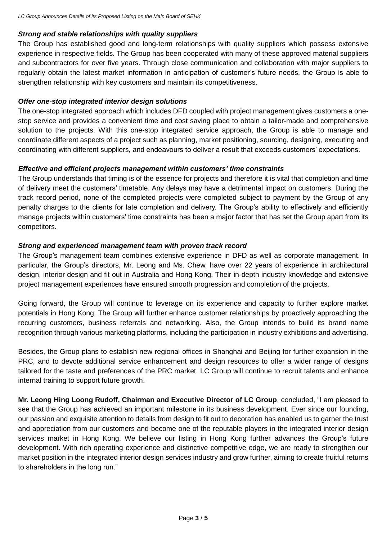#### *Strong and stable relationships with quality suppliers*

The Group has established good and long-term relationships with quality suppliers which possess extensive experience in respective fields. The Group has been cooperated with many of these approved material suppliers and subcontractors for over five years. Through close communication and collaboration with major suppliers to regularly obtain the latest market information in anticipation of customer's future needs, the Group is able to strengthen relationship with key customers and maintain its competitiveness.

#### *Offer one-stop integrated interior design solutions*

The one-stop integrated approach which includes DFD coupled with project management gives customers a onestop service and provides a convenient time and cost saving place to obtain a tailor-made and comprehensive solution to the projects. With this one-stop integrated service approach, the Group is able to manage and coordinate different aspects of a project such as planning, market positioning, sourcing, designing, executing and coordinating with different suppliers, and endeavours to deliver a result that exceeds customers' expectations.

#### *Effective and efficient projects management within customers' time constraints*

The Group understands that timing is of the essence for projects and therefore it is vital that completion and time of delivery meet the customers' timetable. Any delays may have a detrimental impact on customers. During the track record period, none of the completed projects were completed subject to payment by the Group of any penalty charges to the clients for late completion and delivery. The Group's ability to effectively and efficiently manage projects within customers' time constraints has been a major factor that has set the Group apart from its competitors.

#### *Strong and experienced management team with proven track record*

The Group's management team combines extensive experience in DFD as well as corporate management. In particular, the Group's directors, Mr. Leong and Ms. Chew, have over 22 years of experience in architectural design, interior design and fit out in Australia and Hong Kong. Their in-depth industry knowledge and extensive project management experiences have ensured smooth progression and completion of the projects.

Going forward, the Group will continue to leverage on its experience and capacity to further explore market potentials in Hong Kong. The Group will further enhance customer relationships by proactively approaching the recurring customers, business referrals and networking. Also, the Group intends to build its brand name recognition through various marketing platforms, including the participation in industry exhibitions and advertising.

Besides, the Group plans to establish new regional offices in Shanghai and Beijing for further expansion in the PRC, and to devote additional service enhancement and design resources to offer a wider range of designs tailored for the taste and preferences of the PRC market. LC Group will continue to recruit talents and enhance internal training to support future growth.

**Mr. Leong Hing Loong Rudoff, Chairman and Executive Director of LC Group**, concluded, "I am pleased to see that the Group has achieved an important milestone in its business development. Ever since our founding, our passion and exquisite attention to details from design to fit out to decoration has enabled us to garner the trust and appreciation from our customers and become one of the reputable players in the integrated interior design services market in Hong Kong. We believe our listing in Hong Kong further advances the Group's future development. With rich operating experience and distinctive competitive edge, we are ready to strengthen our market position in the integrated interior design services industry and grow further, aiming to create fruitful returns to shareholders in the long run."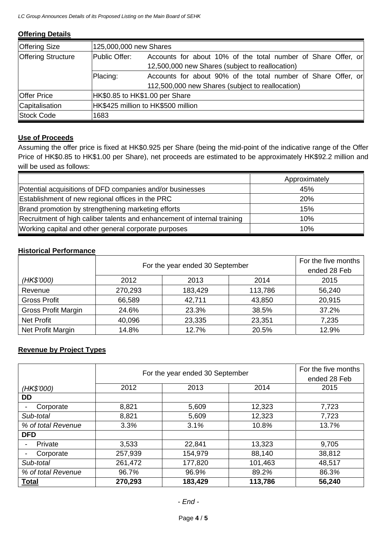#### **Offering Details**

| <b>Offering Size</b>      | 125,000,000 new Shares                          |                                                               |  |  |  |  |  |  |  |
|---------------------------|-------------------------------------------------|---------------------------------------------------------------|--|--|--|--|--|--|--|
| <b>Offering Structure</b> | Public Offer:                                   | Accounts for about 10% of the total number of Share Offer, or |  |  |  |  |  |  |  |
|                           | 12,500,000 new Shares (subject to reallocation) |                                                               |  |  |  |  |  |  |  |
|                           | Placing:                                        | Accounts for about 90% of the total number of Share Offer, or |  |  |  |  |  |  |  |
|                           |                                                 | 112,500,000 new Shares (subject to reallocation)              |  |  |  |  |  |  |  |
| <b>Offer Price</b>        | HK\$0.85 to HK\$1.00 per Share                  |                                                               |  |  |  |  |  |  |  |
| Capitalisation            | HK\$425 million to HK\$500 million              |                                                               |  |  |  |  |  |  |  |
| <b>Stock Code</b>         | 1683                                            |                                                               |  |  |  |  |  |  |  |

### **Use of Proceeds**

Assuming the offer price is fixed at HK\$0.925 per Share (being the mid-point of the indicative range of the Offer Price of HK\$0.85 to HK\$1.00 per Share), net proceeds are estimated to be approximately HK\$92.2 million and will be used as follows:

|                                                                          | Approximately |
|--------------------------------------------------------------------------|---------------|
| Potential acquisitions of DFD companies and/or businesses                | 45%           |
| Establishment of new regional offices in the PRC                         | <b>20%</b>    |
| Brand promotion by strengthening marketing efforts                       | 15%           |
| Recruitment of high caliber talents and enhancement of internal training | 10%           |
| Working capital and other general corporate purposes                     | 10%           |

#### **Historical Performance**

|                            | For the year ended 30 September | For the five months |         |        |
|----------------------------|---------------------------------|---------------------|---------|--------|
|                            |                                 | ended 28 Feb        |         |        |
| (HK\$'000)                 | 2012                            | 2013                | 2014    | 2015   |
| Revenue                    | 270,293                         | 183,429             | 113,786 | 56,240 |
| <b>Gross Profit</b>        | 66,589                          | 42,711              | 43,850  | 20,915 |
| <b>Gross Profit Margin</b> | 24.6%                           | 23.3%               | 38.5%   | 37.2%  |
| <b>Net Profit</b>          | 40,096                          | 23,335              | 23,351  | 7,235  |
| Net Profit Margin          | 14.8%                           | 12.7%               | 20.5%   | 12.9%  |

#### **Revenue by Project Types**

|                    | For the year ended 30 September | For the five months<br>ended 28 Feb |         |        |
|--------------------|---------------------------------|-------------------------------------|---------|--------|
| (HK\$'000)         | 2012                            | 2013                                | 2014    | 2015   |
| <b>DD</b>          |                                 |                                     |         |        |
| Corporate          | 8,821                           | 5,609                               | 12,323  | 7,723  |
| Sub-total          | 8,821                           | 5,609                               | 12,323  | 7,723  |
| % of total Revenue | 3.3%                            | 3.1%                                | 10.8%   | 13.7%  |
| <b>DFD</b>         |                                 |                                     |         |        |
| Private            | 3,533                           | 22,841                              | 13,323  | 9,705  |
| Corporate          | 257,939                         | 154,979                             | 88,140  | 38,812 |
| Sub-total          | 261,472                         | 177,820                             | 101,463 | 48,517 |
| % of total Revenue | 96.7%                           | 96.9%                               | 89.2%   | 86.3%  |
| <u>Total</u>       | 270,293                         | 183,429                             | 113,786 | 56,240 |